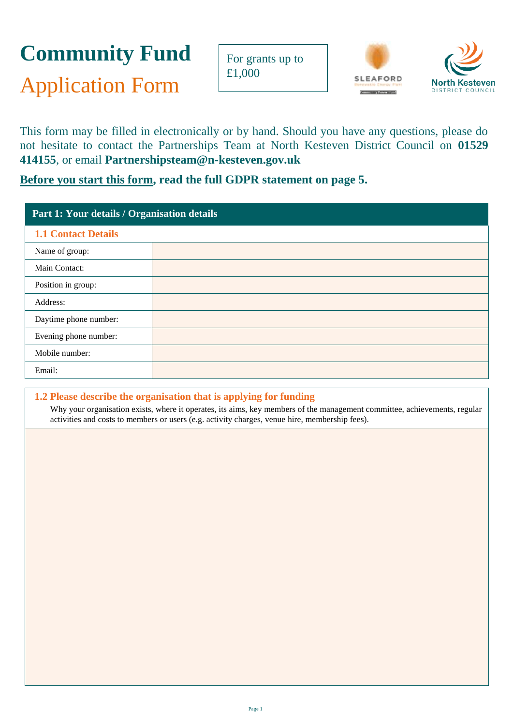# **Community Fund**

Application Form

For grants up to £1,000



This form may be filled in electronically or by hand. Should you have any questions, please do not hesitate to contact the Partnerships Team at North Kesteven District Council on **01529 414155**, or email **[Partnershipsteam@n-kesteven.gov.uk](mailto:Partnershipsteam@n-kesteven.gov.uk)**

# **Before you start this form, read the full GDPR statement on page 5.**

| Part 1: Your details / Organisation details |  |  |
|---------------------------------------------|--|--|
| <b>1.1 Contact Details</b>                  |  |  |
| Name of group:                              |  |  |
| Main Contact:                               |  |  |
| Position in group:                          |  |  |
| Address:                                    |  |  |
| Daytime phone number:                       |  |  |
| Evening phone number:                       |  |  |
| Mobile number:                              |  |  |
| Email:                                      |  |  |

## **1.2 Please describe the organisation that is applying for funding**

Why your organisation exists, where it operates, its aims, key members of the management committee, achievements, regular activities and costs to members or users (e.g. activity charges, venue hire, membership fees).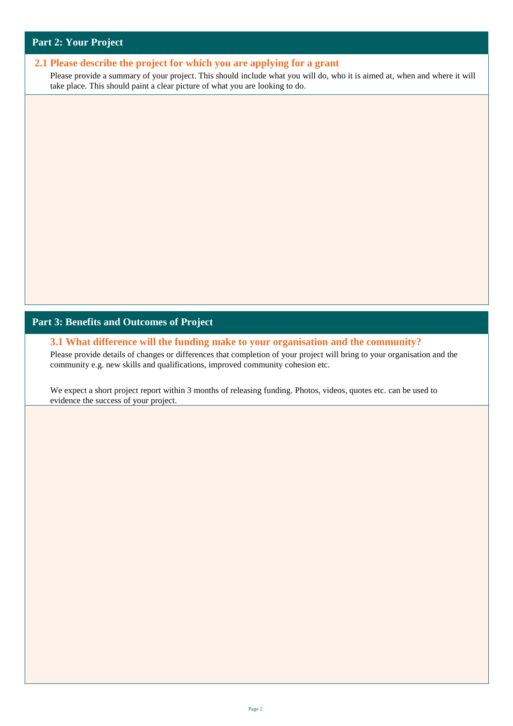#### **Part 2: Your Project**

#### **2.1 Please describe the project for which you are applying for a grant**

Please provide a summary of your project. This should include what you will do, who it is aimed at, when and where it will take place. This should paint a clear picture of what you are looking to do.

#### **Part 3: Benefits and Outcomes of Project**

**3.1 What difference will the funding make to your organisation and the community?**

Please provide details of changes or differences that completion of your project will bring to your organisation and the community e.g. new skills and qualifications, improved community cohesion etc.

We expect a short project report within 3 months of releasing funding. Photos, videos, quotes etc. can be used to evidence the success of your project.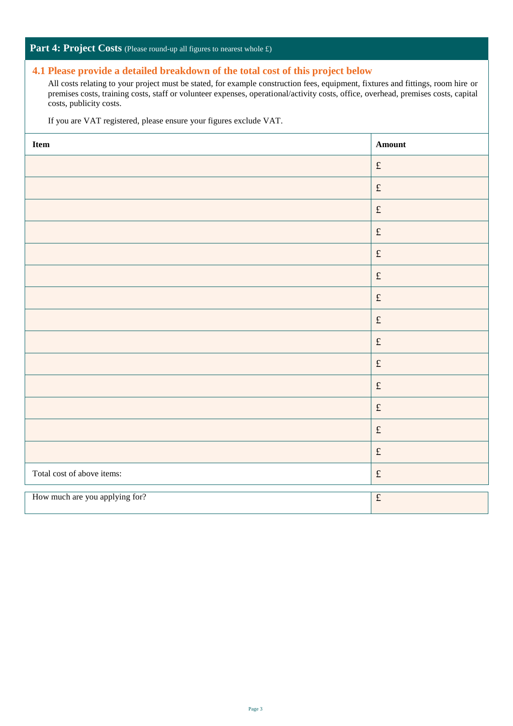#### Part 4: Project Costs (Please round-up all figures to nearest whole £)

#### **4.1 Please provide a detailed breakdown of the total cost of this project below**

All costs relating to your project must be stated, for example construction fees, equipment, fixtures and fittings, room hire or premises costs, training costs, staff or volunteer expenses, operational/activity costs, office, overhead, premises costs, capital costs, publicity costs.

If you are VAT registered, please ensure your figures exclude VAT.

| Item                           | Amount                                                                            |
|--------------------------------|-----------------------------------------------------------------------------------|
|                                | $\pounds$                                                                         |
|                                | $\mathfrak{L}% _{F}=\mathfrak{L}_{F,\mathbb{R}}\times\mathfrak{L}_{F,\mathbb{R}}$ |
|                                | $\pounds$                                                                         |
|                                | $\ensuremath{\mathbf{f}}$                                                         |
|                                | $\ensuremath{\mathbf{f}}$                                                         |
|                                | $\pounds$                                                                         |
|                                | $\ensuremath{\mathbf{f}}$                                                         |
|                                | $\pounds$                                                                         |
|                                | $\mathfrak{L}% _{F}=\mathfrak{L}_{F,\mathbb{R}}\times\mathfrak{L}_{F,\mathbb{R}}$ |
|                                | $\ensuremath{\mathbf{f}}$                                                         |
|                                | $\pounds$                                                                         |
|                                | $\pounds$                                                                         |
|                                | $\pounds$                                                                         |
|                                | $\mathfrak{L}% _{F}=\mathfrak{L}_{F,\mathbb{R}}\times\mathfrak{L}_{F,\mathbb{R}}$ |
| Total cost of above items:     | $\pounds$                                                                         |
| How much are you applying for? | $\pounds$                                                                         |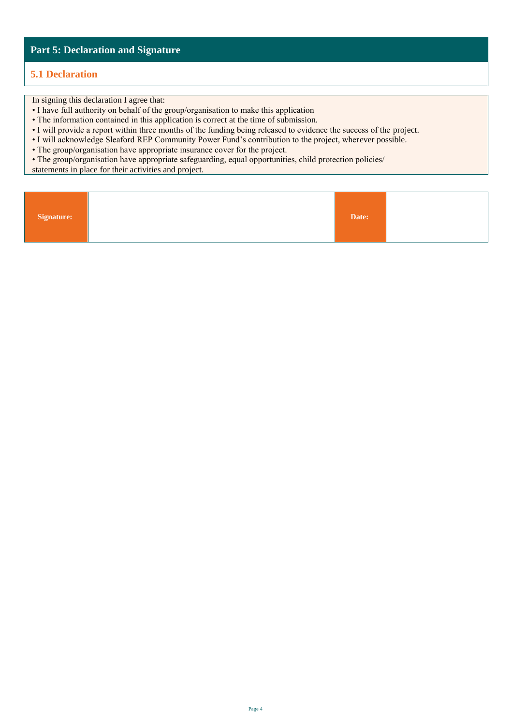#### **Part 5: Declaration and Signature**

#### **5.1 Declaration**

In signing this declaration I agree that:

- I have full authority on behalf of the group/organisation to make this application
- The information contained in this application is correct at the time of submission.
- I will provide a report within three months of the funding being released to evidence the success of the project.
- I will acknowledge Sleaford REP Community Power Fund's contribution to the project, wherever possible.
- The group/organisation have appropriate insurance cover for the project.

• The group/organisation have appropriate safeguarding, equal opportunities, child protection policies/

statements in place for their activities and project.

| Signature: |  | Date: |  |
|------------|--|-------|--|
|------------|--|-------|--|